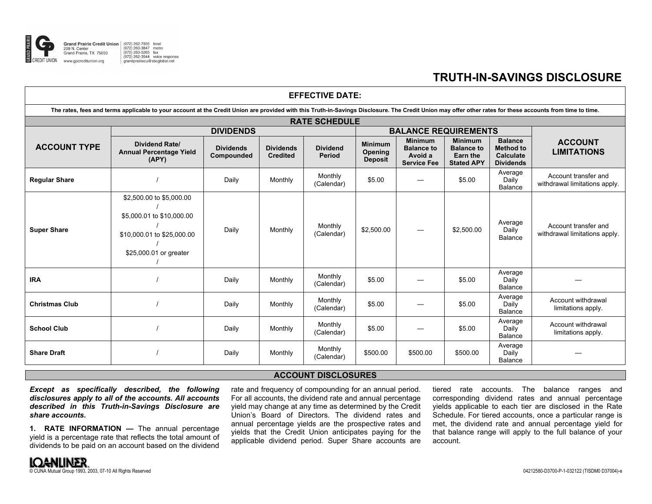

| <b>EFFECTIVE DATE:</b>                                                                                                                                                                                    |                                                                                                               |                                |                                     |                           |                                             |                                                                      |                                                                             |                                                                            |                                                       |  |
|-----------------------------------------------------------------------------------------------------------------------------------------------------------------------------------------------------------|---------------------------------------------------------------------------------------------------------------|--------------------------------|-------------------------------------|---------------------------|---------------------------------------------|----------------------------------------------------------------------|-----------------------------------------------------------------------------|----------------------------------------------------------------------------|-------------------------------------------------------|--|
| The rates, fees and terms applicable to your account at the Credit Union are provided with this Truth-in-Savings Disclosure. The Credit Union may offer other rates for these accounts from time to time. |                                                                                                               |                                |                                     |                           |                                             |                                                                      |                                                                             |                                                                            |                                                       |  |
| <b>RATE SCHEDULE</b>                                                                                                                                                                                      |                                                                                                               |                                |                                     |                           |                                             |                                                                      |                                                                             |                                                                            |                                                       |  |
|                                                                                                                                                                                                           | <b>DIVIDENDS</b>                                                                                              |                                |                                     |                           | <b>BALANCE REQUIREMENTS</b>                 |                                                                      |                                                                             |                                                                            |                                                       |  |
| <b>ACCOUNT TYPE</b>                                                                                                                                                                                       | <b>Dividend Rate/</b><br><b>Annual Percentage Yield</b><br>(APY)                                              | <b>Dividends</b><br>Compounded | <b>Dividends</b><br><b>Credited</b> | <b>Dividend</b><br>Period | <b>Minimum</b><br>Opening<br><b>Deposit</b> | <b>Minimum</b><br><b>Balance to</b><br>Avoid a<br><b>Service Fee</b> | <b>Minimum</b><br><b>Balance to</b><br><b>Earn the</b><br><b>Stated APY</b> | <b>Balance</b><br><b>Method to</b><br><b>Calculate</b><br><b>Dividends</b> | <b>ACCOUNT</b><br><b>LIMITATIONS</b>                  |  |
| <b>Regular Share</b>                                                                                                                                                                                      |                                                                                                               | Daily                          | Monthly                             | Monthly<br>(Calendar)     | \$5.00                                      |                                                                      | \$5.00                                                                      | Average<br>Daily<br>Balance                                                | Account transfer and<br>withdrawal limitations apply. |  |
| <b>Super Share</b>                                                                                                                                                                                        | \$2,500.00 to \$5,000.00<br>\$5,000.01 to \$10,000.00<br>\$10,000.01 to \$25,000.00<br>\$25,000.01 or greater | Daily                          | Monthly                             | Monthly<br>(Calendar)     | \$2,500.00                                  |                                                                      | \$2,500.00                                                                  | Average<br>Daily<br><b>Balance</b>                                         | Account transfer and<br>withdrawal limitations apply. |  |
| <b>IRA</b>                                                                                                                                                                                                |                                                                                                               | Daily                          | Monthly                             | Monthly<br>(Calendar)     | \$5.00                                      |                                                                      | \$5.00                                                                      | Average<br>Daily<br>Balance                                                |                                                       |  |
| <b>Christmas Club</b>                                                                                                                                                                                     |                                                                                                               | Daily                          | Monthly                             | Monthly<br>(Calendar)     | \$5.00                                      |                                                                      | \$5.00                                                                      | Average<br>Daily<br>Balance                                                | Account withdrawal<br>limitations apply.              |  |
| <b>School Club</b>                                                                                                                                                                                        |                                                                                                               | Daily                          | Monthly                             | Monthly<br>(Calendar)     | \$5.00                                      |                                                                      | \$5.00                                                                      | Average<br>Daily<br>Balance                                                | Account withdrawal<br>limitations apply.              |  |
| <b>Share Draft</b>                                                                                                                                                                                        |                                                                                                               | Daily                          | Monthly                             | Monthly<br>(Calendar)     | \$500.00                                    | \$500.00                                                             | \$500.00                                                                    | Average<br>Daily<br><b>Balance</b>                                         |                                                       |  |

## **ACCOUNT DISCLOSURES**

*Except as specifically described, the following disclosures apply to all of the accounts. All accounts described in this Truth-in-Savings Disclosure are share accounts.* 

**1. RATE INFORMATION —** The annual percentage yield is a percentage rate that reflects the total amount of dividends to be paid on an account based on the dividend rate and frequency of compounding for an annual period. For all accounts, the dividend rate and annual percentage yield may change at any time as determined by the Credit Union's Board of Directors. The dividend rates and annual percentage yields are the prospective rates and yields that the Credit Union anticipates paying for the applicable dividend period. Super Share accounts are

tiered rate accounts. The balance ranges and corresponding dividend rates and annual percentage yields applicable to each tier are disclosed in the Rate Schedule. For tiered accounts, once a particular range is met, the dividend rate and annual percentage yield for that balance range will apply to the full balance of your account.



## **TRUTH-IN-SAVINGS DISCLOSURE**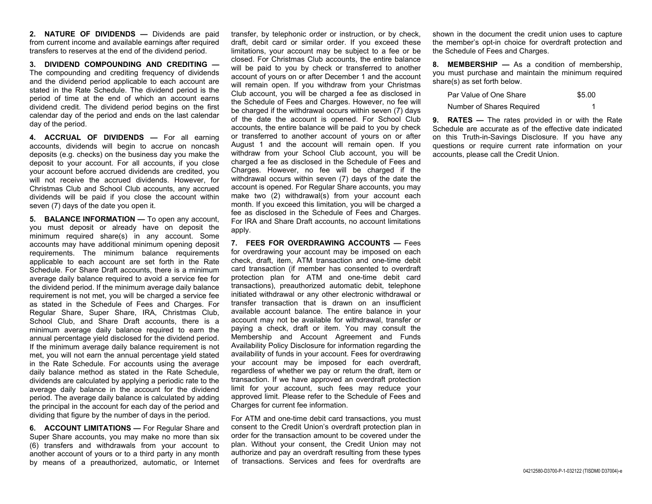**2. NATURE OF DIVIDENDS —** Dividends are paid from current income and available earnings after required transfers to reserves at the end of the dividend period.

**3. DIVIDEND COMPOUNDING AND CREDITING —** The compounding and crediting frequency of dividends and the dividend period applicable to each account are stated in the Rate Schedule. The dividend period is the period of time at the end of which an account earns dividend credit. The dividend period begins on the first calendar day of the period and ends on the last calendar day of the period.

**4. ACCRUAL OF DIVIDENDS —** For all earning accounts, dividends will begin to accrue on noncash deposits (e.g. checks) on the business day you make the deposit to your account. For all accounts, if you close your account before accrued dividends are credited, you will not receive the accrued dividends. However, for Christmas Club and School Club accounts, any accrued dividends will be paid if you close the account within seven (7) days of the date you open it.

**5. BALANCE INFORMATION —** To open any account, you must deposit or already have on deposit the minimum required share(s) in any account. Some accounts may have additional minimum opening deposit requirements. The minimum balance requirements applicable to each account are set forth in the Rate Schedule. For Share Draft accounts, there is a minimum average daily balance required to avoid a service fee for the dividend period. If the minimum average daily balance requirement is not met, you will be charged a service fee as stated in the Schedule of Fees and Charges. For Regular Share, Super Share, IRA, Christmas Club, School Club, and Share Draft accounts, there is a minimum average daily balance required to earn the annual percentage yield disclosed for the dividend period. If the minimum average daily balance requirement is not met, you will not earn the annual percentage yield stated in the Rate Schedule. For accounts using the average daily balance method as stated in the Rate Schedule, dividends are calculated by applying a periodic rate to the average daily balance in the account for the dividend period. The average daily balance is calculated by adding the principal in the account for each day of the period and dividing that figure by the number of days in the period.

**6. ACCOUNT LIMITATIONS — For Regular Share and** Super Share accounts, you may make no more than six (6) transfers and withdrawals from your account to another account of yours or to a third party in any month by means of a preauthorized, automatic, or Internet transfer, by telephonic order or instruction, or by check, draft, debit card or similar order. If you exceed these limitations, your account may be subject to a fee or be closed. For Christmas Club accounts, the entire balance will be paid to you by check or transferred to another account of yours on or after December 1 and the account will remain open. If you withdraw from your Christmas Club account, you will be charged a fee as disclosed in the Schedule of Fees and Charges. However, no fee will be charged if the withdrawal occurs within seven (7) days of the date the account is opened. For School Club accounts, the entire balance will be paid to you by check or transferred to another account of yours on or after August 1 and the account will remain open. If you withdraw from your School Club account, you will be charged a fee as disclosed in the Schedule of Fees and Charges. However, no fee will be charged if the withdrawal occurs within seven (7) days of the date the account is opened. For Regular Share accounts, you may make two (2) withdrawal(s) from your account each month. If you exceed this limitation, you will be charged a fee as disclosed in the Schedule of Fees and Charges. For IRA and Share Draft accounts, no account limitations apply.

**7. FEES FOR OVERDRAWING ACCOUNTS —** Fees for overdrawing your account may be imposed on each check, draft, item, ATM transaction and one-time debit card transaction (if member has consented to overdraft protection plan for ATM and one-time debit card transactions), preauthorized automatic debit, telephone initiated withdrawal or any other electronic withdrawal or transfer transaction that is drawn on an insufficient available account balance. The entire balance in your account may not be available for withdrawal, transfer or paying a check, draft or item. You may consult the Membership and Account Agreement and Funds Availability Policy Disclosure for information regarding the availability of funds in your account. Fees for overdrawing your account may be imposed for each overdraft, regardless of whether we pay or return the draft, item or transaction. If we have approved an overdraft protection limit for your account, such fees may reduce your approved limit. Please refer to the Schedule of Fees and Charges for current fee information.

For ATM and one-time debit card transactions, you must consent to the Credit Union's overdraft protection plan in order for the transaction amount to be covered under the plan. Without your consent, the Credit Union may not authorize and pay an overdraft resulting from these types of transactions. Services and fees for overdrafts are shown in the document the credit union uses to capture the member's opt-in choice for overdraft protection and the Schedule of Fees and Charges.

**8. MEMBERSHIP —** As a condition of membership, you must purchase and maintain the minimum required share(s) as set forth below.

| Par Value of One Share    | \$5.00 |
|---------------------------|--------|
| Number of Shares Required |        |

**9. RATES —** The rates provided in or with the Rate Schedule are accurate as of the effective date indicated on this Truth-in-Savings Disclosure. If you have any questions or require current rate information on your accounts, please call the Credit Union.